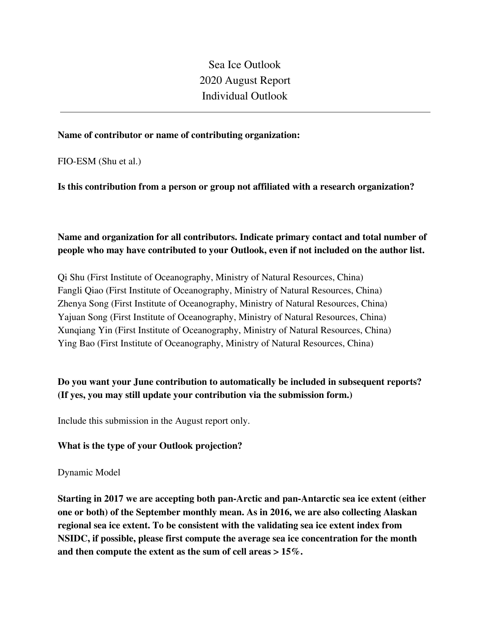Sea Ice Outlook 2020 August Report Individual Outlook

#### **Name of contributor or name of contributing organization:**

FIO-ESM (Shu et al.)

**Is this contribution from a person or group not affiliated with a research organization?** 

# **Name and organization for all contributors. Indicate primary contact and total number of people who may have contributed to your Outlook, even if not included on the author list.**

Qi Shu (First Institute of Oceanography, Ministry of Natural Resources, China) Fangli Qiao (First Institute of Oceanography, Ministry of Natural Resources, China) Zhenya Song (First Institute of Oceanography, Ministry of Natural Resources, China) Yajuan Song (First Institute of Oceanography, Ministry of Natural Resources, China) Xunqiang Yin (First Institute of Oceanography, Ministry of Natural Resources, China) Ying Bao (First Institute of Oceanography, Ministry of Natural Resources, China)

# **Do you want your June contribution to automatically be included in subsequent reports? (If yes, you may still update your contribution via the submission form.)**

Include this submission in the August report only.

### **What is the type of your Outlook projection?**

#### Dynamic Model

**Starting in 2017 we are accepting both pan-Arctic and pan-Antarctic sea ice extent (either one or both) of the September monthly mean. As in 2016, we are also collecting Alaskan regional sea ice extent. To be consistent with the validating sea ice extent index from NSIDC, if possible, please first compute the average sea ice concentration for the month and then compute the extent as the sum of cell areas > 15%.**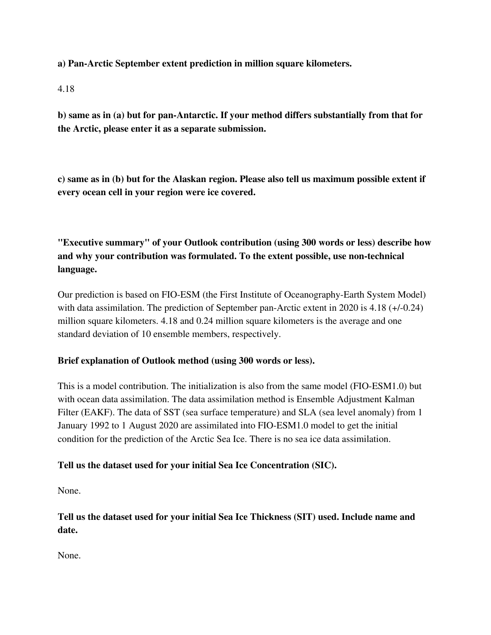**a) Pan-Arctic September extent prediction in million square kilometers.**

### 4.18

**b) same as in (a) but for pan-Antarctic. If your method differs substantially from that for the Arctic, please enter it as a separate submission.**

**c) same as in (b) but for the Alaskan region. Please also tell us maximum possible extent if every ocean cell in your region were ice covered.**

**"Executive summary" of your Outlook contribution (using 300 words or less) describe how and why your contribution was formulated. To the extent possible, use non-technical language.**

Our prediction is based on FIO-ESM (the First Institute of Oceanography-Earth System Model) with data assimilation. The prediction of September pan-Arctic extent in 2020 is 4.18 (+/-0.24) million square kilometers. 4.18 and 0.24 million square kilometers is the average and one standard deviation of 10 ensemble members, respectively.

## **Brief explanation of Outlook method (using 300 words or less).**

This is a model contribution. The initialization is also from the same model (FIO-ESM1.0) but with ocean data assimilation. The data assimilation method is Ensemble Adjustment Kalman Filter (EAKF). The data of SST (sea surface temperature) and SLA (sea level anomaly) from 1 January 1992 to 1 August 2020 are assimilated into FIO-ESM1.0 model to get the initial condition for the prediction of the Arctic Sea Ice. There is no sea ice data assimilation.

## **Tell us the dataset used for your initial Sea Ice Concentration (SIC).**

None.

**Tell us the dataset used for your initial Sea Ice Thickness (SIT) used. Include name and date.**

None.